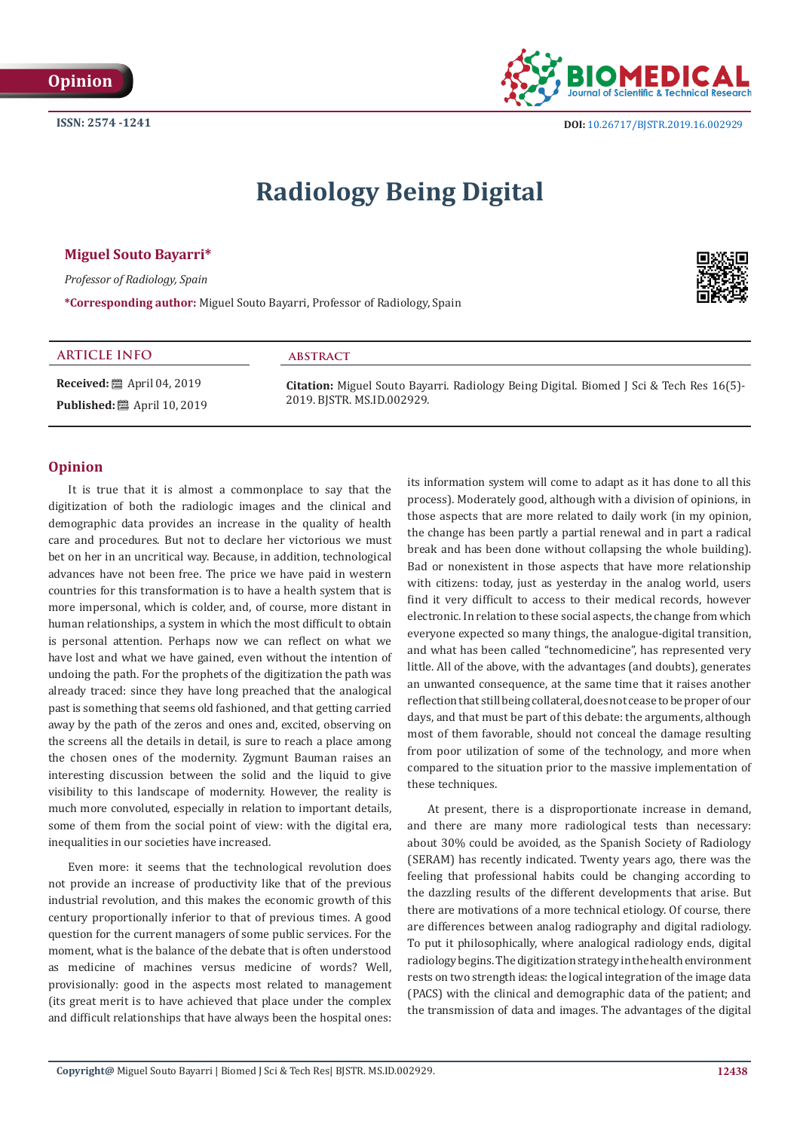

# **Radiology Being Digital**

### **Miguel Souto Bayarri\***

*Professor of Radiology, Spain*

**\*Corresponding author:** Miguel Souto Bayarri, Professor of Radiology, Spain

# **ARTICLE INFO abstract**

**Received:** ■ April 04, 2019 **Published:** ■ April 10, 2019 **Citation:** Miguel Souto Bayarri. Radiology Being Digital. Biomed J Sci & Tech Res 16(5)- 2019. BJSTR. MS.ID.002929.

### **Opinion**

It is true that it is almost a commonplace to say that the digitization of both the radiologic images and the clinical and demographic data provides an increase in the quality of health care and procedures. But not to declare her victorious we must bet on her in an uncritical way. Because, in addition, technological advances have not been free. The price we have paid in western countries for this transformation is to have a health system that is more impersonal, which is colder, and, of course, more distant in human relationships, a system in which the most difficult to obtain is personal attention. Perhaps now we can reflect on what we have lost and what we have gained, even without the intention of undoing the path. For the prophets of the digitization the path was already traced: since they have long preached that the analogical past is something that seems old fashioned, and that getting carried away by the path of the zeros and ones and, excited, observing on the screens all the details in detail, is sure to reach a place among the chosen ones of the modernity. Zygmunt Bauman raises an interesting discussion between the solid and the liquid to give visibility to this landscape of modernity. However, the reality is much more convoluted, especially in relation to important details, some of them from the social point of view: with the digital era, inequalities in our societies have increased.

Even more: it seems that the technological revolution does not provide an increase of productivity like that of the previous industrial revolution, and this makes the economic growth of this century proportionally inferior to that of previous times. A good question for the current managers of some public services. For the moment, what is the balance of the debate that is often understood as medicine of machines versus medicine of words? Well, provisionally: good in the aspects most related to management (its great merit is to have achieved that place under the complex and difficult relationships that have always been the hospital ones:

its information system will come to adapt as it has done to all this process). Moderately good, although with a division of opinions, in those aspects that are more related to daily work (in my opinion, the change has been partly a partial renewal and in part a radical break and has been done without collapsing the whole building). Bad or nonexistent in those aspects that have more relationship with citizens: today, just as yesterday in the analog world, users find it very difficult to access to their medical records, however electronic. In relation to these social aspects, the change from which everyone expected so many things, the analogue-digital transition, and what has been called "technomedicine", has represented very little. All of the above, with the advantages (and doubts), generates an unwanted consequence, at the same time that it raises another reflection that still being collateral, does not cease to be proper of our days, and that must be part of this debate: the arguments, although most of them favorable, should not conceal the damage resulting from poor utilization of some of the technology, and more when compared to the situation prior to the massive implementation of these techniques.

At present, there is a disproportionate increase in demand, and there are many more radiological tests than necessary: about 30% could be avoided, as the Spanish Society of Radiology (SERAM) has recently indicated. Twenty years ago, there was the feeling that professional habits could be changing according to the dazzling results of the different developments that arise. But there are motivations of a more technical etiology. Of course, there are differences between analog radiography and digital radiology. To put it philosophically, where analogical radiology ends, digital radiology begins. The digitization strategy in the health environment rests on two strength ideas: the logical integration of the image data (PACS) with the clinical and demographic data of the patient; and the transmission of data and images. The advantages of the digital